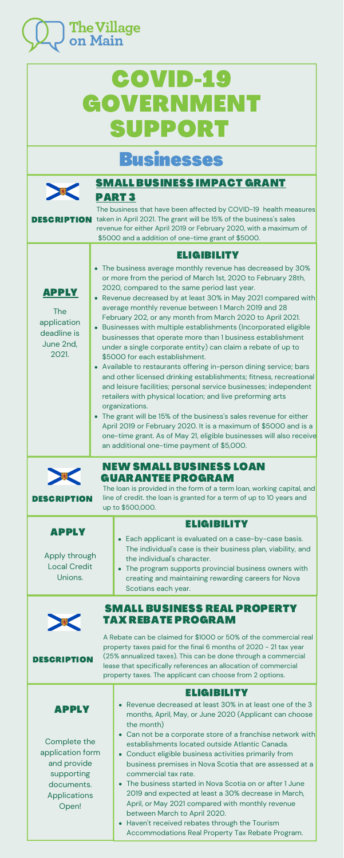

# COVID-19 **[GOVERNMENT](https://covid-benefits.alpha.canada.ca/en/start)** SUPPORT

## Businesses



The loan is provided in the form of a term loan, working capital, and line of credit. the loan is granted for a term of up to 10 years and up to \$500,000.

### SMALL [BUSINESS](https://novascotia.ca/coronavirus/small-business-impact-grant/) IMPACT GRANT PART 3

The business that have been affected by COVID-19 health measures DESCRIPTION taken in April 2021. The grant will be 15% of the business's sales revenue for either April 2019 or February 2020, with a maximum of \$5000 and a addition of one-time grant of \$5000.

#### [ELIGIBILITY](https://novascotia.ca/coronavirus/small-business-impact-grant/#eligibility)

- The business average monthly revenue has decreased by 30% or more from the period of March 1st, 2020 to February 28th, 2020, compared to the same period last year.
- Revenue decreased by at least 30% in May 2021 compared with average monthly revenue between 1 March 2019 and 28 February 202, or any month from March 2020 to April 2021.
- Businesses with multiple establishments (Incorporated eligible businesses that operate more than 1 business establishment under a single corporate entity) can claim a rebate of up to \$5000 for each establishment.
- Available to restaurants offering in-person dining service; bars and other licensed drinking establishments; fitness, recreational and leisure facilities; personal service businesses; independent retailers with physical location; and live preforming arts organizations.
- The grant will be 15% of the business's sales revenue for either April 2019 or February 2020. It is a maximum of \$5000 and is a one-time grant. As of May 21, eligible businesses will also receive an additional one-time payment of \$5,000.

| <b>APPLY</b><br>Apply through<br><b>Local Credit</b><br>Unions.                                                             | <b>ELIGIBILITY</b><br>Each applicant is evaluated on a case-by-case basis.<br>The individual's case is their business plan, viability, and<br>the individual's character.<br>• The program supports provincial business owners with<br>creating and maintaining rewarding careers for Nova<br>Scotians each year.                                                                                                                                                                                                                                                                                                                                                                                                             |
|-----------------------------------------------------------------------------------------------------------------------------|-------------------------------------------------------------------------------------------------------------------------------------------------------------------------------------------------------------------------------------------------------------------------------------------------------------------------------------------------------------------------------------------------------------------------------------------------------------------------------------------------------------------------------------------------------------------------------------------------------------------------------------------------------------------------------------------------------------------------------|
| <b>DESCRIPTION</b>                                                                                                          | <b>SMALL BUSINESS REAL PROPERTY</b><br>TAX REBATE PROGRAM<br>A Rebate can be claimed for \$1000 or 50% of the commercial real<br>property taxes paid for the final 6 months of 2020 - 21 tax year<br>(25% annualized taxes). This can be done through a commercial<br>lease that specifically references an allocation of commercial<br>property taxes. The applicant can choose from 2 options.                                                                                                                                                                                                                                                                                                                              |
| <b>APPLY</b><br>Complete the<br>application form<br>and provide<br>supporting<br>documents.<br><b>Applications</b><br>Open! | ELIGIBILITY<br>Revenue decreased at least 30% in at least one of the 3<br>months, April, May, or June 2020 (Applicant can choose<br>the month)<br>Can not be a corporate store of a franchise network with<br>establishments located outside Atlantic Canada.<br>Conduct eligible business activities primarily from<br>business premises in Nova Scotia that are assessed at a<br>commercial tax rate.<br>The business started in Nova Scotia on or after 1 June<br>$\bullet$<br>2019 and expected at least a 30% decrease in March,<br>April, or May 2021 compared with monthly revenue<br>between March to April 2020.<br>Haven't received rebates through the Tourism<br>Accommodations Real Property Tax Rebate Program. |

[APPLY](https://novascotia.ca/coronavirus/small-business-impact-grant/)

The application deadline is June 2nd, 2021.

[NEW](http://www.novascotia.coop/programs/small-business-loan-guarantee-program/) SMALL BUSINESS LOAN

[GUARANTEE](http://www.novascotia.coop/programs/small-business-loan-guarantee-program/) PROGRAM



DESCRIPTION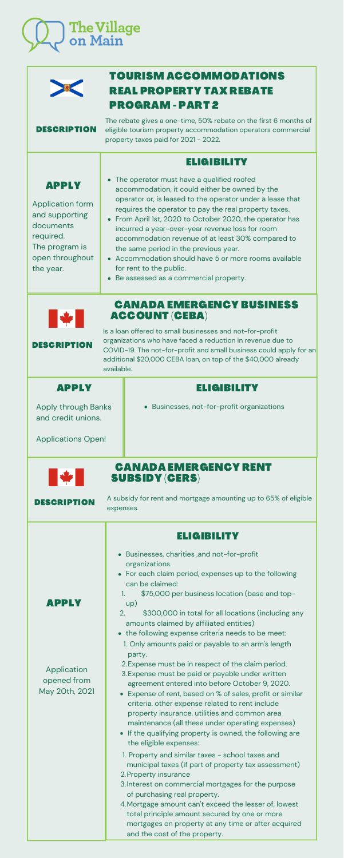

|                                                                                                                                                                                                                                                                                                                                                                | <b>TOURISM ACCOMMODATIONS</b><br><b>REAL PROPERTY TAX REBATE</b><br><b>PROGRAM - PART 2</b>                                                                                                                                                                                                                                                                                                                                                                                                                                                                   |  |  |  |
|----------------------------------------------------------------------------------------------------------------------------------------------------------------------------------------------------------------------------------------------------------------------------------------------------------------------------------------------------------------|---------------------------------------------------------------------------------------------------------------------------------------------------------------------------------------------------------------------------------------------------------------------------------------------------------------------------------------------------------------------------------------------------------------------------------------------------------------------------------------------------------------------------------------------------------------|--|--|--|
| <b>DESCRIPTION</b>                                                                                                                                                                                                                                                                                                                                             | The rebate gives a one-time, 50% rebate on the first 6 months of<br>eligible tourism property accommodation operators commercial<br>property taxes paid for 2021 - 2022.                                                                                                                                                                                                                                                                                                                                                                                      |  |  |  |
|                                                                                                                                                                                                                                                                                                                                                                | <b>ELIGIBILITY</b>                                                                                                                                                                                                                                                                                                                                                                                                                                                                                                                                            |  |  |  |
| <b>APPLY</b><br><b>Application form</b><br>and supporting<br>documents<br>required.<br>The program is<br>open throughout<br>the year.                                                                                                                                                                                                                          | • The operator must have a qualified roofed<br>accommodation, it could either be owned by the<br>operator or, is leased to the operator under a lease that<br>requires the operator to pay the real property taxes.<br>• From April 1st, 2020 to October 2020, the operator has<br>incurred a year-over-year revenue loss for room<br>accommodation revenue of at least 30% compared to<br>the same period in the previous year.<br>• Accommodation should have 5 or more rooms available<br>for rent to the public.<br>Be assessed as a commercial property. |  |  |  |
| <b>CANADA EMERGENCY BUSINESS</b><br><b>ACCOUNT (CEBA)</b><br>Is a loan offered to small businesses and not-for-profit<br>organizations who have faced a reduction in revenue due to<br><b>DESCRIPTION</b><br>COVID-19. The not-for-profit and small business could apply for an<br>additional \$20,000 CEBA loan, on top of the \$40,000 already<br>available. |                                                                                                                                                                                                                                                                                                                                                                                                                                                                                                                                                               |  |  |  |
| APPLY                                                                                                                                                                                                                                                                                                                                                          | ELIGIBILITY                                                                                                                                                                                                                                                                                                                                                                                                                                                                                                                                                   |  |  |  |
| <b>Apply through Banks</b><br>and credit unions.<br><b>Applications Open!</b>                                                                                                                                                                                                                                                                                  | Businesses, not-for-profit organizations                                                                                                                                                                                                                                                                                                                                                                                                                                                                                                                      |  |  |  |
| <b>CANADA EMERGENCY RENT</b><br><b>SUBSIDY (CERS)</b>                                                                                                                                                                                                                                                                                                          |                                                                                                                                                                                                                                                                                                                                                                                                                                                                                                                                                               |  |  |  |

A subsidy for rent and mortgage amounting up to 65% of eligible

expenses.

DESCRIPTION

#### [APPLY](https://www.canada.ca/en/revenue-agency/services/subsidy/emergency-rent-subsidy.html)

Application opened from May 20th, 2021

#### [ELIGIBILITY](https://www.canada.ca/en/revenue-agency/services/subsidy/emergency-rent-subsidy.html)

- Businesses, charities ,and not-for-profit organizations.
- For each claim period, expenses up to the following can be claimed:
- \$75,000 per business location (base and topup) 1.
- \$300,000 in total for all locations (including any amounts claimed by affiliated entities) 2.
- the following expense criteria needs to be meet:
	- 1. Only amounts paid or payable to an arm's length party.
	- 2. Expense must be in respect of the claim period.
- Expense must be paid or payable under written 3. agreement entered into before October 9, 2020.
- Expense of rent, based on % of sales, profit or similar criteria. other expense related to rent include property insurance, utilities and common area maintenance (all these under operating expenses)
- If the qualifying property is owned, the following are the eligible expenses:
- 1. Property and similar taxes school taxes and municipal taxes (if part of property tax assessment)
- 2. Property insurance
- Interest on commercial mortgages for the purpose 3. of purchasing real property.
- Mortgage amount can't exceed the lesser of, lowest 4.total principle amount secured by one or more mortgages on property at any time or after acquired and the cost of the property.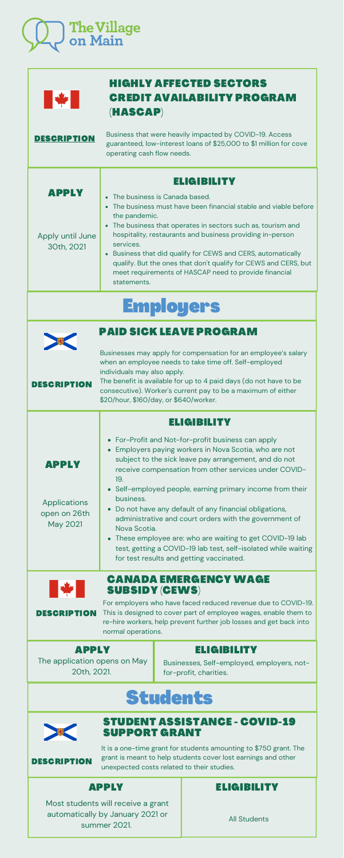| <b>Applications</b><br>open on 26th<br>May 2021                                                                                                                                                                                                                                                                           | business.<br>Do not have any default of any financial obligations,<br>administrative and court orders with the government of<br>Nova Scotia.<br>• These employee are: who are waiting to get COVID-19 lab<br>test, getting a COVID-19 lab test, self-isolated while waiting<br>for test results and getting vaccinated. |                                                                                            |  |  |
|---------------------------------------------------------------------------------------------------------------------------------------------------------------------------------------------------------------------------------------------------------------------------------------------------------------------------|-------------------------------------------------------------------------------------------------------------------------------------------------------------------------------------------------------------------------------------------------------------------------------------------------------------------------|--------------------------------------------------------------------------------------------|--|--|
| <b>CANADA EMERGENCY WAGE</b><br><b>IX</b><br><b>SUBSIDY (CEWS)</b><br>For employers who have faced reduced revenue due to COVID-19.<br>This is designed to cover part of employee wages, enable them to<br><b>DESCRIPTION</b><br>re-hire workers, help prevent further job losses and get back into<br>normal operations. |                                                                                                                                                                                                                                                                                                                         |                                                                                            |  |  |
| <b>APPLY</b><br>The application opens on May<br>20th, 2021.                                                                                                                                                                                                                                                               |                                                                                                                                                                                                                                                                                                                         | <b>ELIGIBILITY</b><br>Businesses, Self-employed, employers, not-<br>for-profit, charities. |  |  |
| <b>Students</b>                                                                                                                                                                                                                                                                                                           |                                                                                                                                                                                                                                                                                                                         |                                                                                            |  |  |
| <b>STUDENT ASSISTANCE - COVID-19</b><br><b>SUPPORT GRANT</b>                                                                                                                                                                                                                                                              |                                                                                                                                                                                                                                                                                                                         |                                                                                            |  |  |
| It is a one-time grant for students amounting to \$750 grant. The<br>grant is meant to help students cover lost earnings and other<br><b>DESCRIPTION</b><br>unexpected costs related to their studies.                                                                                                                    |                                                                                                                                                                                                                                                                                                                         |                                                                                            |  |  |

Self-employed people, earning primary income from their business.

| The Village<br>on Main |
|------------------------|
|                        |

| <b>ANTISER</b>                 | <b>HIGHLY AFFECTED SECTORS</b><br><b>CREDIT AVAILABILITY PROGRAM</b><br>(HASCAP)                                                                                                                                                                                                                                                                                                                                                 |
|--------------------------------|----------------------------------------------------------------------------------------------------------------------------------------------------------------------------------------------------------------------------------------------------------------------------------------------------------------------------------------------------------------------------------------------------------------------------------|
| <b>DESCRIPTION</b>             | Business that were heavily impacted by COVID-19. Access<br>guaranteed, low-interest loans of \$25,000 to \$1 million for cove<br>operating cash flow needs.                                                                                                                                                                                                                                                                      |
| APPLY                          | EL GIBILITY<br>• The business is Canada based.                                                                                                                                                                                                                                                                                                                                                                                   |
| Apply until June<br>30th, 2021 | The business must have been financial stable and viable before<br>the pandemic.<br>The business that operates in sectors such as, tourism and<br>hospitality, restaurants and business providing in-person<br>services.<br>Business that did qualify for CEWS and CERS, automatically<br>qualify. But the ones that don't qualify for CEWS and CERS, but<br>meet requirements of HASCAP need to provide financial<br>statements. |
|                                | <b>Employers</b>                                                                                                                                                                                                                                                                                                                                                                                                                 |
| <b>DESCRIPTION</b>             | PAID SICK LEAVE PROGRAM<br>Businesses may apply for compensation for an employee's salary<br>when an employee needs to take time off. Self-employed<br>individuals may also apply.<br>The benefit is available for up to 4 paid days (do not have to be<br>consecutive). Worker's current pay to be a maximum of either<br>\$20/hour, \$160/day, or \$640/worker.                                                                |
|                                | <b>ELIGIBILITY</b><br>For-Profit and Not-for-profit business can apply                                                                                                                                                                                                                                                                                                                                                           |
| APPLY                          | Employers paying workers in Nova Scotia, who are not<br>subject to the sick leave pay arrangement, and do not<br>receive compensation from other services under COVID-<br>19.                                                                                                                                                                                                                                                    |

#### [APPLY](https://novascotia.ca/studentassistance/About/ContactUs.asp) [ELIGIBILITY](https://novascotia.ca/studentassistance/About/ContactUs.asp)

All Students

Most students will receive a grant automatically by January 2021 or summer 2021.